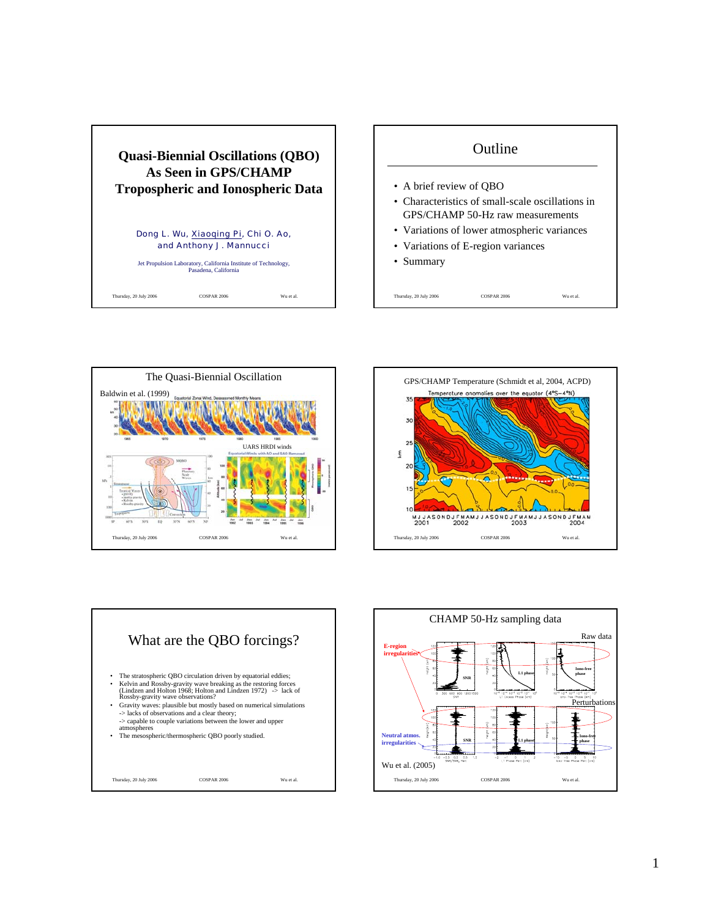

## **Outline**

- A brief review of QBO
- Characteristics of small-scale oscillations in GPS/CHAMP 50-Hz raw measurements
- Variations of lower atmospheric variances

Thursday, 20 July 2006 COSPAR 2006 Wu et al.

- Variations of E-region variances
- Summary

The Quasi-Biennial Oscillation Baldwin et al. (1999) UARS HRDI winds  $346$ Jui Thursday, 20 July 2006 COSPAR 2006 Wu et al.